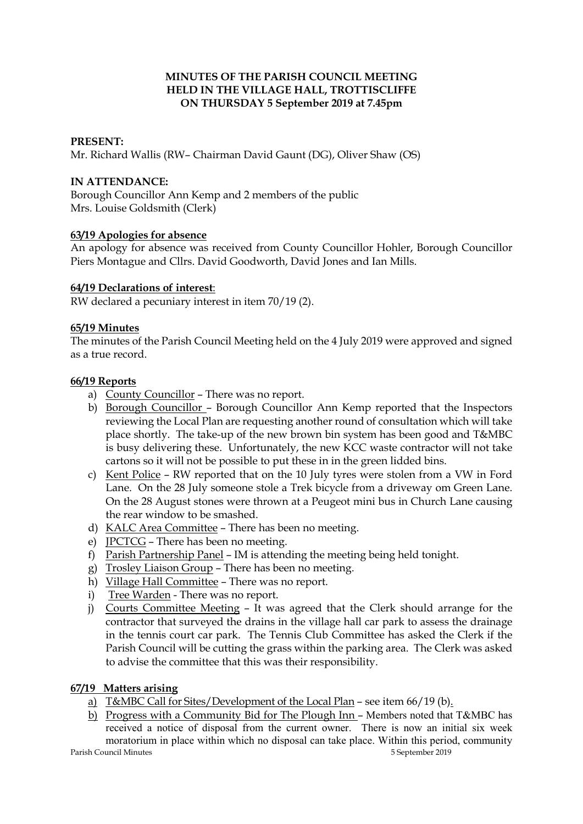# **MINUTES OF THE PARISH COUNCIL MEETING HELD IN THE VILLAGE HALL, TROTTISCLIFFE ON THURSDAY 5 September 2019 at 7.45pm**

## **PRESENT:**

Mr. Richard Wallis (RW– Chairman David Gaunt (DG), Oliver Shaw (OS)

### **IN ATTENDANCE:**

Borough Councillor Ann Kemp and 2 members of the public Mrs. Louise Goldsmith (Clerk)

### **63/19 Apologies for absence**

An apology for absence was received from County Councillor Hohler, Borough Councillor Piers Montague and Cllrs. David Goodworth, David Jones and Ian Mills.

### **64/19 Declarations of interest**:

RW declared a pecuniary interest in item 70/19 (2).

### **65/19 Minutes**

The minutes of the Parish Council Meeting held on the 4 July 2019 were approved and signed as a true record.

### **66/19 Reports**

- a) County Councillor There was no report.
- b) Borough Councillor Borough Councillor Ann Kemp reported that the Inspectors reviewing the Local Plan are requesting another round of consultation which will take place shortly. The take-up of the new brown bin system has been good and T&MBC is busy delivering these. Unfortunately, the new KCC waste contractor will not take cartons so it will not be possible to put these in in the green lidded bins.
- c) Kent Police RW reported that on the 10 July tyres were stolen from a VW in Ford Lane. On the 28 July someone stole a Trek bicycle from a driveway om Green Lane. On the 28 August stones were thrown at a Peugeot mini bus in Church Lane causing the rear window to be smashed.
- d) KALC Area Committee There has been no meeting.
- e) JPCTCG There has been no meeting.
- f) Parish Partnership Panel IM is attending the meeting being held tonight.
- g) Trosley Liaison Group There has been no meeting.
- h) Village Hall Committee There was no report.
- i) Tree Warden There was no report.
- j) Courts Committee Meeting It was agreed that the Clerk should arrange for the contractor that surveyed the drains in the village hall car park to assess the drainage in the tennis court car park. The Tennis Club Committee has asked the Clerk if the Parish Council will be cutting the grass within the parking area. The Clerk was asked to advise the committee that this was their responsibility.

#### **67/19 Matters arising**

- a) T&MBC Call for Sites/Development of the Local Plan see item 66/19 (b).
- b) Progress with a Community Bid for The Plough Inn Members noted that T&MBC has received a notice of disposal from the current owner. There is now an initial six week moratorium in place within which no disposal can take place. Within this period, community

Parish Council Minutes 5 September 2019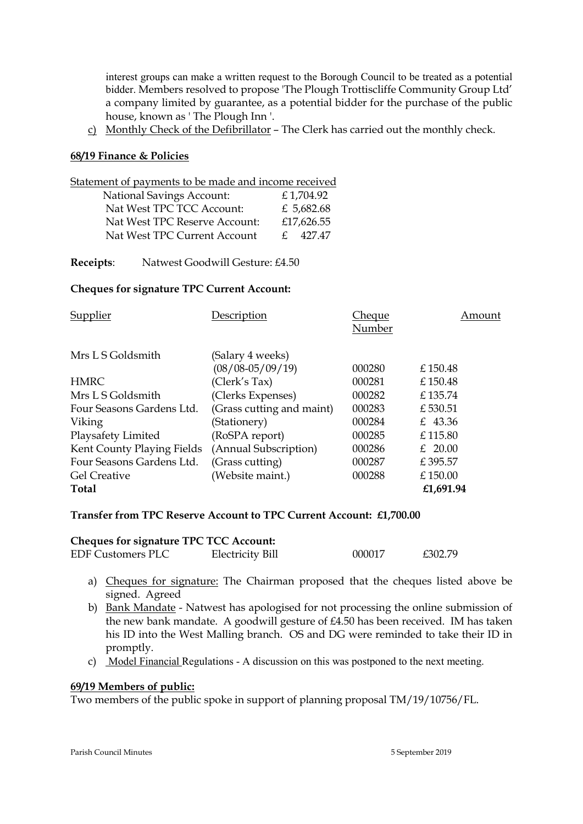interest groups can make a written request to the Borough Council to be treated as a potential bidder. Members resolved to propose 'The Plough Trottiscliffe Community Group Ltd' a company limited by guarantee, as a potential bidder for the purchase of the public house, known as ' The Plough Inn '.

c) Monthly Check of the Defibrillator – The Clerk has carried out the monthly check.

#### **68/19 Finance & Policies**

| Statement of payments to be made and income received |            |  |
|------------------------------------------------------|------------|--|
| <b>National Savings Account:</b>                     | £1,704.92  |  |
| Nat West TPC TCC Account:                            | £ 5,682.68 |  |
| Nat West TPC Reserve Account:                        | £17,626.55 |  |
| Nat West TPC Current Account                         | 427.47     |  |

**Receipts**: Natwest Goodwill Gesture: £4.50

### **Cheques for signature TPC Current Account:**

| Supplier<br>Description<br>Cheque<br>Number                                 | Amount |
|-----------------------------------------------------------------------------|--------|
| Mrs L S Goldsmith<br>(Salary 4 weeks)                                       |        |
| $(08/08 - 05/09/19)$<br>000280<br>£ 150.48                                  |        |
| (Clerk's Tax)<br><b>HMRC</b><br>000281<br>£150.48                           |        |
| (Clerks Expenses)<br>Mrs L S Goldsmith<br>000282<br>£135.74                 |        |
| (Grass cutting and maint)<br>000283<br>£530.51<br>Four Seasons Gardens Ltd. |        |
| (Stationery)<br>000284<br>£ 43.36<br>Viking                                 |        |
| Playsafety Limited<br>(RoSPA report)<br>000285<br>£115.80                   |        |
| Kent County Playing Fields<br>(Annual Subscription)<br>000286<br>£ $20.00$  |        |
| Four Seasons Gardens Ltd.<br>(Grass cutting)<br>000287<br>£395.57           |        |
| (Website maint.)<br><b>Gel Creative</b><br>000288<br>£150.00                |        |
| £1,691.94<br><b>Total</b>                                                   |        |

#### **Transfer from TPC Reserve Account to TPC Current Account: £1,700.00**

| <b>Cheques for signature TPC TCC Account:</b> |                  |        |         |  |
|-----------------------------------------------|------------------|--------|---------|--|
| <b>EDF Customers PLC</b>                      | Electricity Bill | 000017 | £302.79 |  |

- a) Cheques for signature: The Chairman proposed that the cheques listed above be signed. Agreed
- b) Bank Mandate Natwest has apologised for not processing the online submission of the new bank mandate. A goodwill gesture of £4.50 has been received. IM has taken his ID into the West Malling branch. OS and DG were reminded to take their ID in promptly.
- c) Model Financial Regulations A discussion on this was postponed to the next meeting.

#### **69/19 Members of public:**

Two members of the public spoke in support of planning proposal TM/19/10756/FL.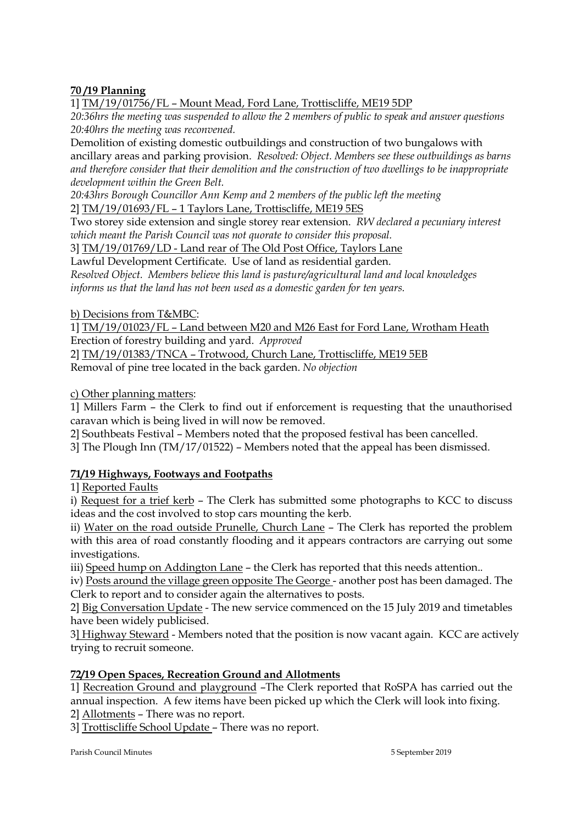# **70 /19 Planning**

1] TM/19/01756/FL – Mount Mead, Ford Lane, Trottiscliffe, ME19 5DP

*20:36hrs the meeting was suspended to allow the 2 members of public to speak and answer questions 20:40hrs the meeting was reconvened.*

Demolition of existing domestic outbuildings and construction of two bungalows with ancillary areas and parking provision. *Resolved: Object. Members see these outbuildings as barns and therefore consider that their demolition and the construction of two dwellings to be inappropriate development within the Green Belt.*

*20:43hrs Borough Councillor Ann Kemp and 2 members of the public left the meeting* 2] TM/19/01693/FL – 1 Taylors Lane, Trottiscliffe, ME19 5ES

Two storey side extension and single storey rear extension. *RW declared a pecuniary interest which meant the Parish Council was not quorate to consider this proposal.*

3] TM/19/01769/LD - Land rear of The Old Post Office, Taylors Lane

Lawful Development Certificate. Use of land as residential garden. *Resolved Object. Members believe this land is pasture/agricultural land and local knowledges informs us that the land has not been used as a domestic garden for ten years.*

# b) Decisions from T&MBC:

1] TM/19/01023/FL – Land between M20 and M26 East for Ford Lane, Wrotham Heath Erection of forestry building and yard. *Approved*

2] TM/19/01383/TNCA – Trotwood, Church Lane, Trottiscliffe, ME19 5EB Removal of pine tree located in the back garden. *No objection* 

c) Other planning matters:

1] Millers Farm – the Clerk to find out if enforcement is requesting that the unauthorised caravan which is being lived in will now be removed.

2] Southbeats Festival – Members noted that the proposed festival has been cancelled.

3] The Plough Inn (TM/17/01522) – Members noted that the appeal has been dismissed.

# **71/19 Highways, Footways and Footpaths**

1] Reported Faults

i) Request for a trief kerb – The Clerk has submitted some photographs to KCC to discuss ideas and the cost involved to stop cars mounting the kerb.

ii) Water on the road outside Prunelle, Church Lane – The Clerk has reported the problem with this area of road constantly flooding and it appears contractors are carrying out some investigations.

iii) Speed hump on Addington Lane – the Clerk has reported that this needs attention..

iv) Posts around the village green opposite The George - another post has been damaged. The Clerk to report and to consider again the alternatives to posts.

2] Big Conversation Update - The new service commenced on the 15 July 2019 and timetables have been widely publicised.

3] Highway Steward - Members noted that the position is now vacant again. KCC are actively trying to recruit someone.

# **72/19 Open Spaces, Recreation Ground and Allotments**

1] Recreation Ground and playground –The Clerk reported that RoSPA has carried out the annual inspection. A few items have been picked up which the Clerk will look into fixing.

2] Allotments – There was no report.

3] Trottiscliffe School Update – There was no report.